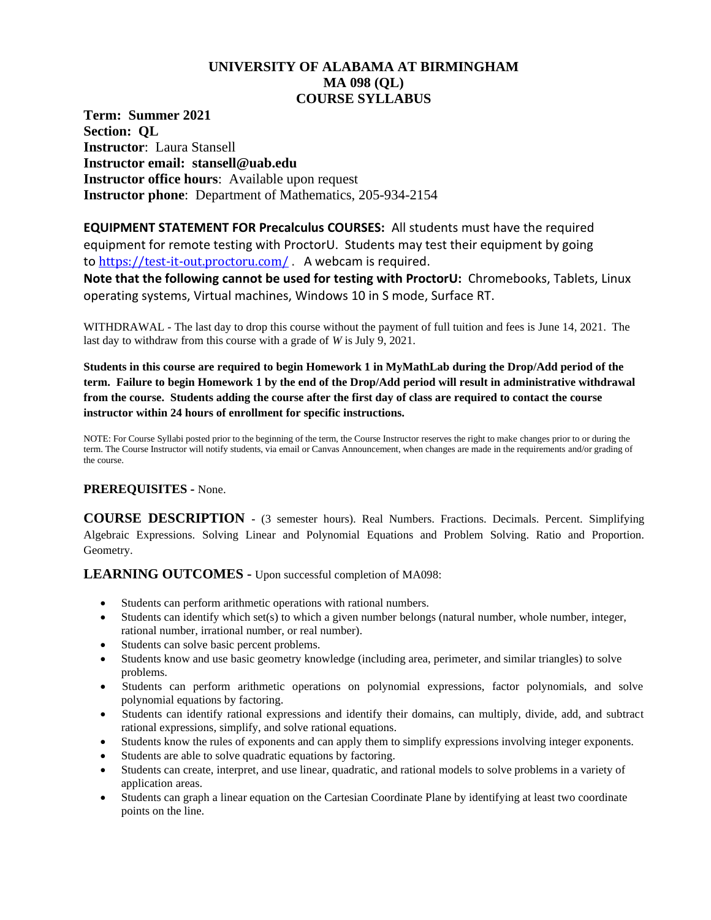## **UNIVERSITY OF ALABAMA AT BIRMINGHAM MA 098 (QL) COURSE SYLLABUS**

**Term: Summer 2021 Section: QL Instructor**: Laura Stansell **Instructor email: stansell@uab.edu Instructor office hours**: Available upon request **Instructor phone**: Department of Mathematics, 205-934-2154

**EQUIPMENT STATEMENT FOR Precalculus COURSES:** All students must have the required equipment for remote testing with ProctorU. Students may test their equipment by going to <https://test-it-out.proctoru.com/> . A webcam is required.

**Note that the following cannot be used for testing with ProctorU:** Chromebooks, Tablets, Linux operating systems, Virtual machines, Windows 10 in S mode, Surface RT.

WITHDRAWAL - The last day to drop this course without the payment of full tuition and fees is June 14, 2021. The last day to withdraw from this course with a grade of *W* is July 9, 2021.

**Students in this course are required to begin Homework 1 in MyMathLab during the Drop/Add period of the term. Failure to begin Homework 1 by the end of the Drop/Add period will result in administrative withdrawal from the course. Students adding the course after the first day of class are required to contact the course instructor within 24 hours of enrollment for specific instructions.**

NOTE: For Course Syllabi posted prior to the beginning of the term, the Course Instructor reserves the right to make changes prior to or during the term. The Course Instructor will notify students, via email or Canvas Announcement, when changes are made in the requirements and/or grading of the course.

## **PREREQUISITES -** None.

**COURSE DESCRIPTION -** (3 semester hours). Real Numbers. Fractions. Decimals. Percent. Simplifying Algebraic Expressions. Solving Linear and Polynomial Equations and Problem Solving. Ratio and Proportion. Geometry.

**LEARNING OUTCOMES -** Upon successful completion of MA098:

- Students can perform arithmetic operations with rational numbers.
- Students can identify which set(s) to which a given number belongs (natural number, whole number, integer, rational number, irrational number, or real number).
- Students can solve basic percent problems.
- Students know and use basic geometry knowledge (including area, perimeter, and similar triangles) to solve problems.
- Students can perform arithmetic operations on polynomial expressions, factor polynomials, and solve polynomial equations by factoring.
- Students can identify rational expressions and identify their domains, can multiply, divide, add, and subtract rational expressions, simplify, and solve rational equations.
- Students know the rules of exponents and can apply them to simplify expressions involving integer exponents.
- Students are able to solve quadratic equations by factoring.
- Students can create, interpret, and use linear, quadratic, and rational models to solve problems in a variety of application areas.
- Students can graph a linear equation on the Cartesian Coordinate Plane by identifying at least two coordinate points on the line.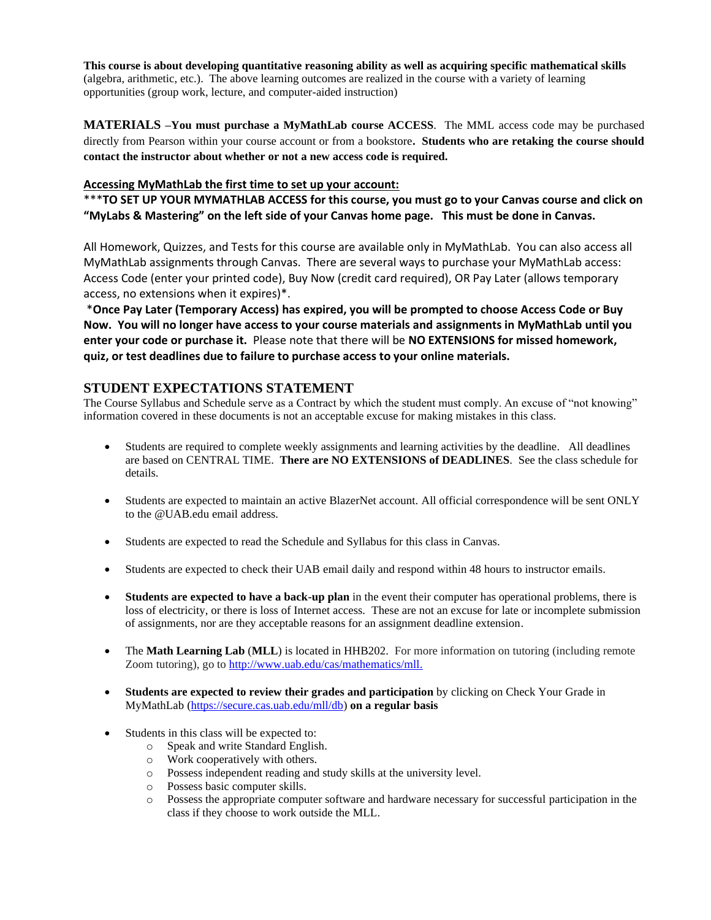**This course is about developing quantitative reasoning ability as well as acquiring specific mathematical skills** (algebra, arithmetic, etc.). The above learning outcomes are realized in the course with a variety of learning opportunities (group work, lecture, and computer-aided instruction)

**MATERIALS –You must purchase a MyMathLab course ACCESS**. The MML access code may be purchased directly from Pearson within your course account or from a bookstore**. Students who are retaking the course should contact the instructor about whether or not a new access code is required.** 

### **Accessing MyMathLab the first time to set up your account:**

\*\*\***TO SET UP YOUR MYMATHLAB ACCESS for this course, you must go to your Canvas course and click on "MyLabs & Mastering" on the left side of your Canvas home page. This must be done in Canvas.** 

All Homework, Quizzes, and Tests for this course are available only in MyMathLab. You can also access all MyMathLab assignments through Canvas. There are several ways to purchase your MyMathLab access: Access Code (enter your printed code), Buy Now (credit card required), OR Pay Later (allows temporary access, no extensions when it expires)\*.

\***Once Pay Later (Temporary Access) has expired, you will be prompted to choose Access Code or Buy Now. You will no longer have access to your course materials and assignments in MyMathLab until you enter your code or purchase it.** Please note that there will be **NO EXTENSIONS for missed homework, quiz, or test deadlines due to failure to purchase access to your online materials.**

## **STUDENT EXPECTATIONS STATEMENT**

The Course Syllabus and Schedule serve as a Contract by which the student must comply. An excuse of "not knowing" information covered in these documents is not an acceptable excuse for making mistakes in this class.

- Students are required to complete weekly assignments and learning activities by the deadline. All deadlines are based on CENTRAL TIME. **There are NO EXTENSIONS of DEADLINES**. See the class schedule for details.
- Students are expected to maintain an active BlazerNet account. All official correspondence will be sent ONLY to the @UAB.edu email address.
- Students are expected to read the Schedule and Syllabus for this class in Canvas.
- Students are expected to check their UAB email daily and respond within 48 hours to instructor emails.
- **Students are expected to have a back-up plan** in the event their computer has operational problems, there is loss of electricity, or there is loss of Internet access. These are not an excuse for late or incomplete submission of assignments, nor are they acceptable reasons for an assignment deadline extension.
- The Math Learning Lab (MLL) is located in HHB202. For more information on tutoring (including remote Zoom tutoring), go to [http://www.uab.edu/cas/mathematics/mll.](http://www.uab.edu/cas/mathematics/mll)
- **Students are expected to review their grades and participation** by clicking on Check Your Grade in MyMathLab [\(https://secure.cas.uab.edu/mll/db\)](https://secure.cas.uab.edu/mll/db) **on a regular basis**
- Students in this class will be expected to:
	- o Speak and write Standard English.
	- o Work cooperatively with others.
	- o Possess independent reading and study skills at the university level.
	- o Possess basic computer skills.
	- o Possess the appropriate computer software and hardware necessary for successful participation in the class if they choose to work outside the MLL.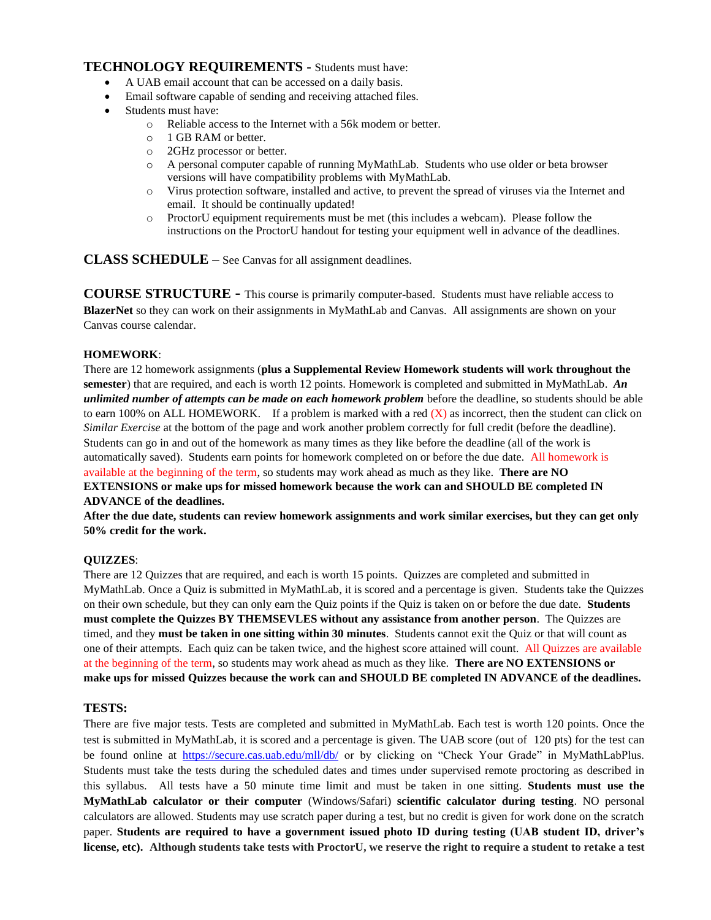## **TECHNOLOGY REQUIREMENTS -** Students must have:

- A UAB email account that can be accessed on a daily basis.
- Email software capable of sending and receiving attached files.
- Students must have:
	- o Reliable access to the Internet with a 56k modem or better.
	- o 1 GB RAM or better.
	- o 2GHz processor or better.
	- o A personal computer capable of running MyMathLab. Students who use older or beta browser versions will have compatibility problems with MyMathLab.
	- o Virus protection software, installed and active, to prevent the spread of viruses via the Internet and email. It should be continually updated!
	- o ProctorU equipment requirements must be met (this includes a webcam). Please follow the instructions on the ProctorU handout for testing your equipment well in advance of the deadlines.

**CLASS SCHEDULE** – See Canvas for all assignment deadlines.

**COURSE STRUCTURE -** This course is primarily computer-based. Students must have reliable access to **BlazerNet** so they can work on their assignments in MyMathLab and Canvas. All assignments are shown on your Canvas course calendar.

### **HOMEWORK**:

There are 12 homework assignments (**plus a Supplemental Review Homework students will work throughout the semester**) that are required, and each is worth 12 points. Homework is completed and submitted in MyMathLab. *An unlimited number of attempts can be made on each homework problem* before the deadline, so students should be able to earn 100% on ALL HOMEWORK. If a problem is marked with a red  $(X)$  as incorrect, then the student can click on *Similar Exercise* at the bottom of the page and work another problem correctly for full credit (before the deadline). Students can go in and out of the homework as many times as they like before the deadline (all of the work is automatically saved). Students earn points for homework completed on or before the due date. All homework is available at the beginning of the term, so students may work ahead as much as they like. **There are NO EXTENSIONS or make ups for missed homework because the work can and SHOULD BE completed IN** 

# **ADVANCE of the deadlines.**

**After the due date, students can review homework assignments and work similar exercises, but they can get only 50% credit for the work.**

### **QUIZZES**:

There are 12 Quizzes that are required, and each is worth 15 points. Quizzes are completed and submitted in MyMathLab. Once a Quiz is submitted in MyMathLab, it is scored and a percentage is given. Students take the Quizzes on their own schedule, but they can only earn the Quiz points if the Quiz is taken on or before the due date. **Students must complete the Quizzes BY THEMSEVLES without any assistance from another person**. The Quizzes are timed, and they **must be taken in one sitting within 30 minutes**. Students cannot exit the Quiz or that will count as one of their attempts. Each quiz can be taken twice, and the highest score attained will count. All Quizzes are available at the beginning of the term, so students may work ahead as much as they like. **There are NO EXTENSIONS or make ups for missed Quizzes because the work can and SHOULD BE completed IN ADVANCE of the deadlines.**

### **TESTS:**

There are five major tests. Tests are completed and submitted in MyMathLab. Each test is worth 120 points. Once the test is submitted in MyMathLab, it is scored and a percentage is given. The UAB score (out of 120 pts) for the test can be found online at <https://secure.cas.uab.edu/mll/db/> or by clicking on "Check Your Grade" in MyMathLabPlus. Students must take the tests during the scheduled dates and times under supervised remote proctoring as described in this syllabus. All tests have a 50 minute time limit and must be taken in one sitting. **Students must use the MyMathLab calculator or their computer** (Windows/Safari) **scientific calculator during testing**. NO personal calculators are allowed. Students may use scratch paper during a test, but no credit is given for work done on the scratch paper. **Students are required to have a government issued photo ID during testing (UAB student ID, driver's license, etc). Although students take tests with ProctorU, we reserve the right to require a student to retake a test**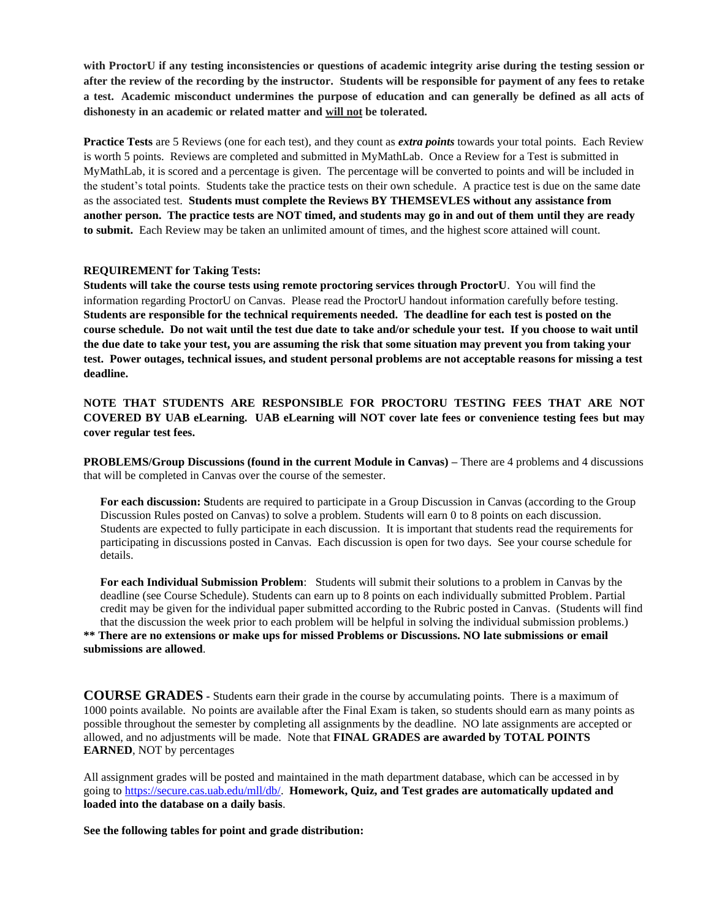**with ProctorU if any testing inconsistencies or questions of academic integrity arise during the testing session or after the review of the recording by the instructor. Students will be responsible for payment of any fees to retake a test. Academic misconduct undermines the purpose of education and can generally be defined as all acts of dishonesty in an academic or related matter and will not be tolerated.**

**Practice Tests** are 5 Reviews (one for each test), and they count as *extra points* towards your total points. Each Review is worth 5 points. Reviews are completed and submitted in MyMathLab. Once a Review for a Test is submitted in MyMathLab, it is scored and a percentage is given. The percentage will be converted to points and will be included in the student's total points. Students take the practice tests on their own schedule. A practice test is due on the same date as the associated test. **Students must complete the Reviews BY THEMSEVLES without any assistance from another person. The practice tests are NOT timed, and students may go in and out of them until they are ready to submit.** Each Review may be taken an unlimited amount of times, and the highest score attained will count.

#### **REQUIREMENT for Taking Tests:**

**Students will take the course tests using remote proctoring services through ProctorU**. You will find the information regarding ProctorU on Canvas. Please read the ProctorU handout information carefully before testing. **Students are responsible for the technical requirements needed. The deadline for each test is posted on the course schedule. Do not wait until the test due date to take and/or schedule your test. If you choose to wait until the due date to take your test, you are assuming the risk that some situation may prevent you from taking your test. Power outages, technical issues, and student personal problems are not acceptable reasons for missing a test deadline.**

**NOTE THAT STUDENTS ARE RESPONSIBLE FOR PROCTORU TESTING FEES THAT ARE NOT COVERED BY UAB eLearning. UAB eLearning will NOT cover late fees or convenience testing fees but may cover regular test fees.** 

**PROBLEMS/Group Discussions (found in the current Module in Canvas) –** There are 4 problems and 4 discussions that will be completed in Canvas over the course of the semester.

**For each discussion: S**tudents are required to participate in a Group Discussion in Canvas (according to the Group Discussion Rules posted on Canvas) to solve a problem. Students will earn 0 to 8 points on each discussion. Students are expected to fully participate in each discussion. It is important that students read the requirements for participating in discussions posted in Canvas. Each discussion is open for two days. See your course schedule for details.

**For each Individual Submission Problem**: Students will submit their solutions to a problem in Canvas by the deadline (see Course Schedule). Students can earn up to 8 points on each individually submitted Problem. Partial credit may be given for the individual paper submitted according to the Rubric posted in Canvas. (Students will find that the discussion the week prior to each problem will be helpful in solving the individual submission problems.) **\*\* There are no extensions or make ups for missed Problems or Discussions. NO late submissions or email submissions are allowed**.

**COURSE GRADES -** Students earn their grade in the course by accumulating points. There is a maximum of 1000 points available. No points are available after the Final Exam is taken, so students should earn as many points as possible throughout the semester by completing all assignments by the deadline. NO late assignments are accepted or allowed, and no adjustments will be made. Note that **FINAL GRADES are awarded by TOTAL POINTS EARNED**, NOT by percentages

All assignment grades will be posted and maintained in the math department database, which can be accessed in by going t[o https://secure.cas.uab.edu/mll/db/.](https://secure.cas.uab.edu/mll/db/) **Homework, Quiz, and Test grades are automatically updated and loaded into the database on a daily basis**.

**See the following tables for point and grade distribution:**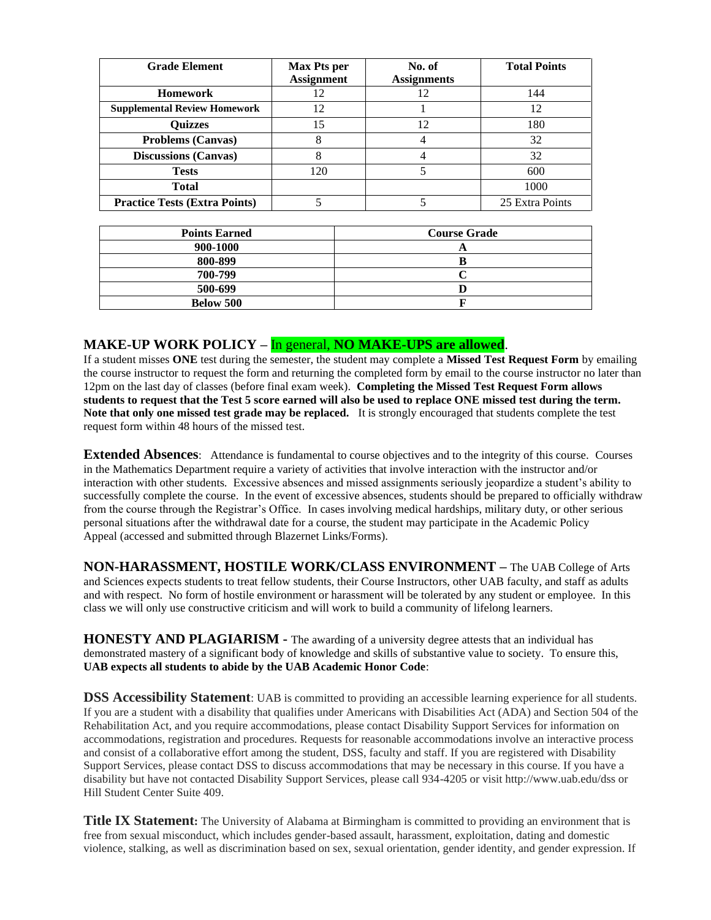| <b>Grade Element</b>                 | <b>Max Pts per</b> | No. of             | <b>Total Points</b> |
|--------------------------------------|--------------------|--------------------|---------------------|
|                                      | <b>Assignment</b>  | <b>Assignments</b> |                     |
| <b>Homework</b>                      | 12                 | 12                 | 144                 |
| <b>Supplemental Review Homework</b>  | 12                 |                    | 12                  |
| <b>Ouizzes</b>                       | 15                 | 12                 | 180                 |
| <b>Problems (Canvas)</b>             | 8                  |                    | 32                  |
| <b>Discussions (Canvas)</b>          |                    |                    | 32                  |
| <b>Tests</b>                         | 120                |                    | 600                 |
| <b>Total</b>                         |                    |                    | 1000                |
| <b>Practice Tests (Extra Points)</b> |                    |                    | 25 Extra Points     |

| <b>Points Earned</b> | <b>Course Grade</b> |  |
|----------------------|---------------------|--|
| 900-1000             |                     |  |
| 800-899              |                     |  |
| 700-799              |                     |  |
| 500-699              |                     |  |
| Below 500            |                     |  |

## **MAKE-UP WORK POLICY –** In general, **NO MAKE-UPS are allowed**.

If a student misses **ONE** test during the semester, the student may complete a **Missed Test Request Form** by emailing the course instructor to request the form and returning the completed form by email to the course instructor no later than 12pm on the last day of classes (before final exam week). **Completing the Missed Test Request Form allows students to request that the Test 5 score earned will also be used to replace ONE missed test during the term. Note that only one missed test grade may be replaced.** It is strongly encouraged that students complete the test request form within 48 hours of the missed test.

**Extended Absences:** Attendance is fundamental to course objectives and to the integrity of this course. Courses in the Mathematics Department require a variety of activities that involve interaction with the instructor and/or interaction with other students. Excessive absences and missed assignments seriously jeopardize a student's ability to successfully complete the course. In the event of excessive absences, students should be prepared to officially withdraw from the course through the Registrar's Office. In cases involving medical hardships, military duty, or other serious personal situations after the withdrawal date for a course, the student may participate in the Academic Policy Appeal (accessed and submitted through Blazernet Links/Forms).

**NON-HARASSMENT, HOSTILE WORK/CLASS ENVIRONMENT –** The UAB College of Arts and Sciences expects students to treat fellow students, their Course Instructors, other UAB faculty, and staff as adults and with respect. No form of hostile environment or harassment will be tolerated by any student or employee. In this class we will only use constructive criticism and will work to build a community of lifelong learners.

**HONESTY AND PLAGIARISM -** The awarding of a university degree attests that an individual has demonstrated mastery of a significant body of knowledge and skills of substantive value to society. To ensure this, **UAB expects all students to abide by the UAB Academic Honor Code**:

**DSS Accessibility Statement**: UAB is committed to providing an accessible learning experience for all students. If you are a student with a disability that qualifies under Americans with Disabilities Act (ADA) and Section 504 of the Rehabilitation Act, and you require accommodations, please contact Disability Support Services for information on accommodations, registration and procedures. Requests for reasonable accommodations involve an interactive process and consist of a collaborative effort among the student, DSS, faculty and staff. If you are registered with Disability Support Services, please contact DSS to discuss accommodations that may be necessary in this course. If you have a disability but have not contacted Disability Support Services, please call 934-4205 or visit http://www.uab.edu/dss or Hill Student Center Suite 409.

**Title IX Statement:** The University of Alabama at Birmingham is committed to providing an environment that is free from sexual misconduct, which includes gender-based assault, harassment, exploitation, dating and domestic violence, stalking, as well as discrimination based on sex, sexual orientation, gender identity, and gender expression. If